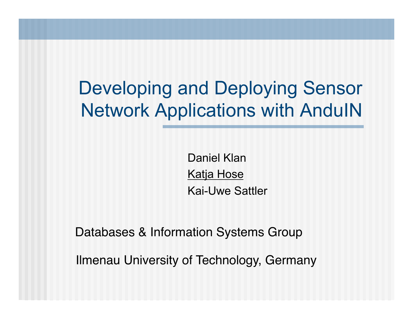## Developing and Deploying Sensor Network Applications with AnduIN

Daniel Klan Katja Hose Kai-Uwe Sattler

Databases & Information Systems Group

Ilmenau University of Technology, Germany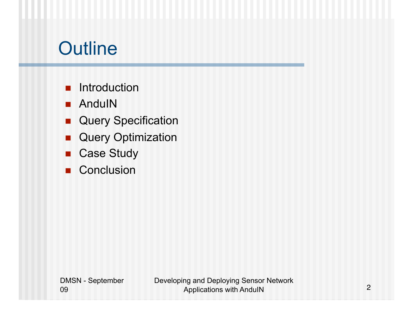## **Outline**

- **Introduction**
- **AnduIN**
- **Query Specification**
- **Query Optimization**
- Case Study
- Conclusion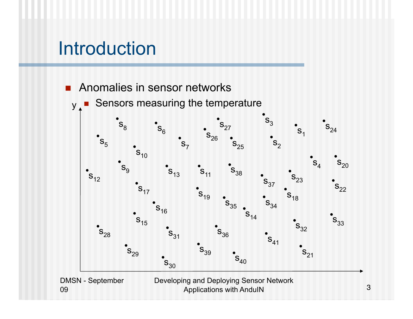09





Applications with AnduIN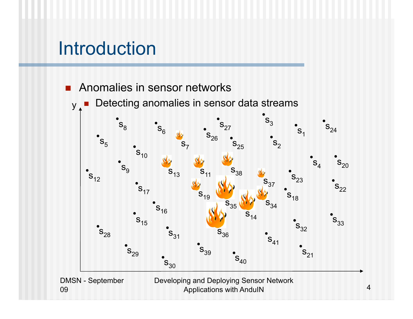09

**Anomalies in sensor networks** 

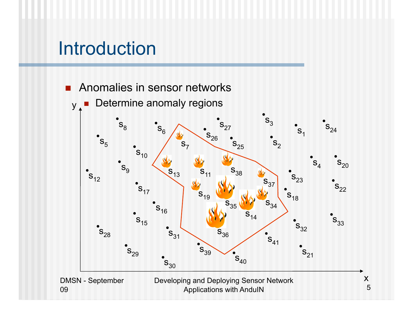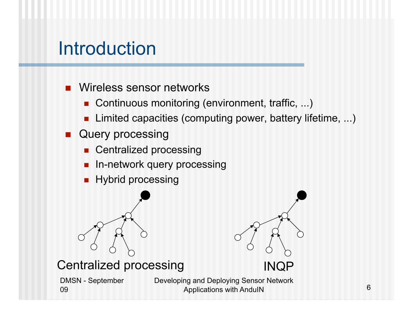- **Number 19 Minutes Sensor networks** 
	- Continuous monitoring (environment, traffic, ...)
	- Limited capacities (computing power, battery lifetime, ...)
- **Query processing** 
	- **Centralized processing**
	- **In-network query processing**
	- **Hybrid processing**





Centralized processing **INQP** 

DMSN - September 09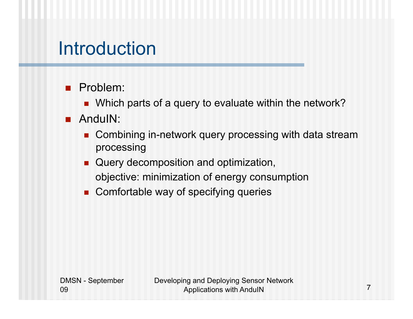- **Problem:** 
	- Which parts of a query to evaluate within the network?
- **AnduIN:** 
	- **E** Combining in-network query processing with data stream processing
	- Query decomposition and optimization, objective: minimization of energy consumption
	- Comfortable way of specifying queries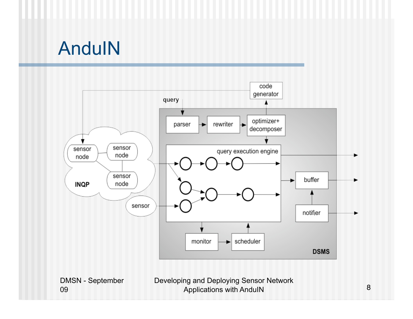### AnduIN

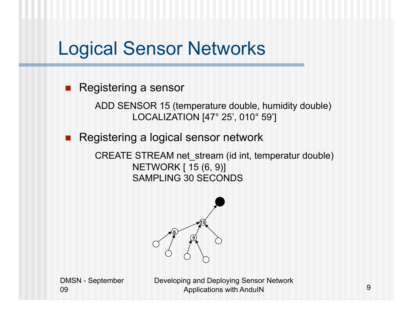### Logical Sensor Networks

Registering a sensor

ADD SENSOR 15 (temperature double, humidity double) LOCALIZATION [47° 25', 010° 59']

■ Registering a logical sensor network

CREATE STREAM net\_stream (id int, temperatur double) NETWORK [ 15 (6, 9)] SAMPLING 30 SECONDS



DMSN - September 09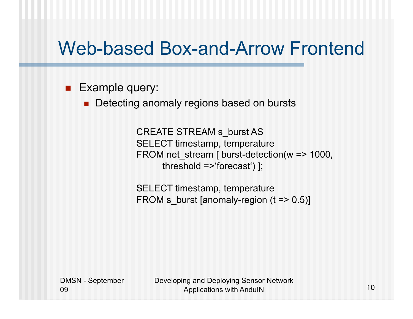## Web-based Box-and-Arrow Frontend

**Example query:** 

**Detecting anomaly regions based on bursts** 

CREATE STREAM s\_burst AS SELECT timestamp, temperature FROM net\_stream [ burst-detection(w => 1000, threshold =>'forecast') ];

SELECT timestamp, temperature FROM s\_burst [anomaly-region (t => 0.5)]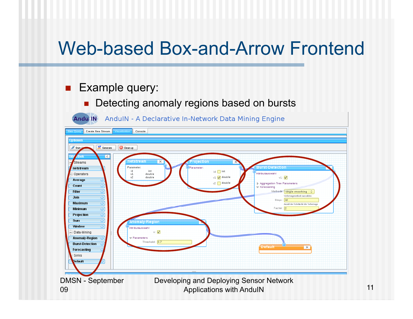### Web-based Box-and-Arrow Frontend

#### **Example query:**

Detecting anomaly regions based on bursts



11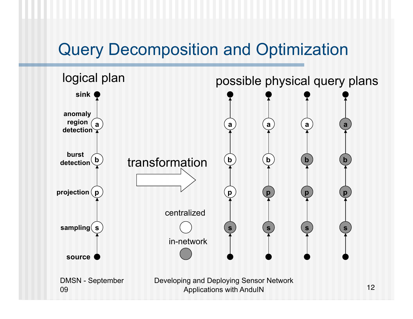### Query Decomposition and Optimization

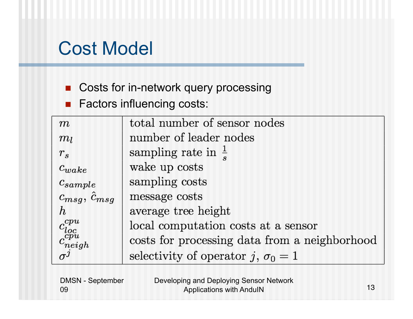### Cost Model

- Costs for in-network query processing
- **Factors influencing costs:**

| $m\,$                                                                   | total number of sensor nodes                  |
|-------------------------------------------------------------------------|-----------------------------------------------|
| $m_l$                                                                   | number of leader nodes                        |
| $r_s$                                                                   | sampling rate in $\frac{1}{s}$                |
| $c_{wake}$                                                              | wake up costs                                 |
| $c_{sample}$                                                            | sampling costs                                |
| $c_{msg}, c_{msg}$                                                      | message costs                                 |
| h                                                                       | average tree height                           |
| $\begin{array}{l} c_{loc}^{cpu}\ c_{neigh}^{cpu}\ \sigma^j \end{array}$ | local computation costs at a sensor           |
|                                                                         | costs for processing data from a neighborhood |
|                                                                         | selectivity of operator j, $\sigma_0 = 1$     |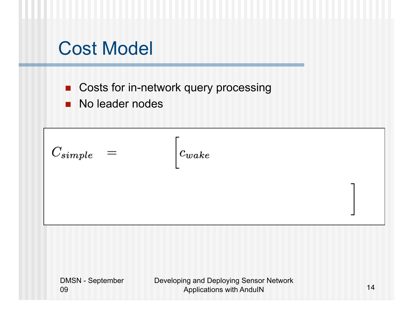### Cost Model

- Costs for in-network query processing
- No leader nodes

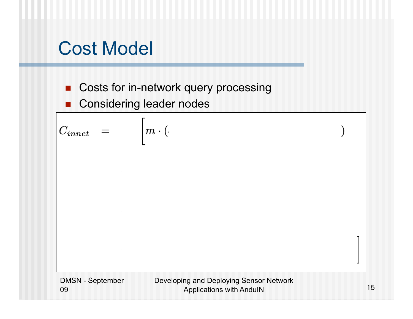### Cost Model

- Costs for in-network query processing
- Considering leader nodes

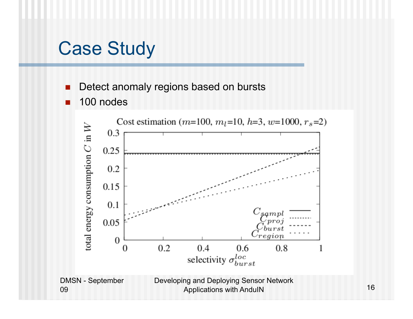### Case Study

- Detect anomaly regions based on bursts
- **100 nodes**

09

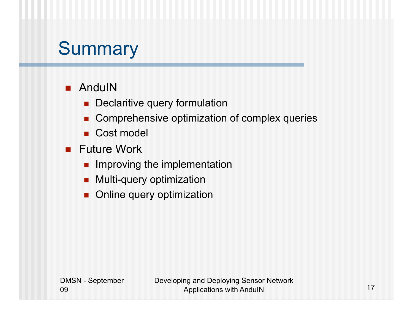## **Summary**

- **AnduIN** 
	- **Declaritive query formulation**
	- **Comprehensive optimization of complex queries**
	- Cost model
- **Future Work** 
	- **Improving the implementation**
	- **Multi-query optimization**
	- Online query optimization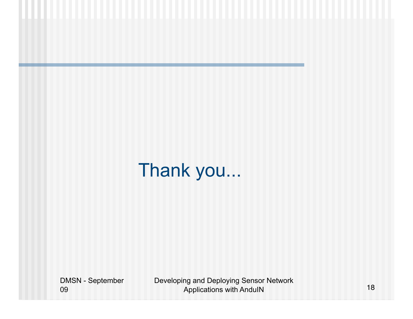# Thank you...

DMSN - September 09